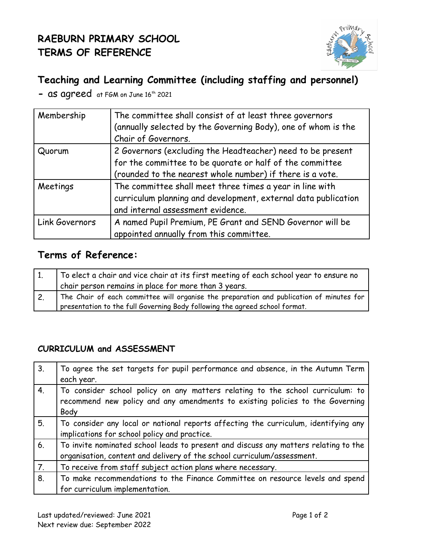# **RAEBURN PRIMARY SCHOOL TERMS OF REFERENCE**



## **Teaching and Learning Committee (including staffing and personnel)**

- as agreed at FGM on June 16<sup>th</sup> 2021

| Membership     | The committee shall consist of at least three governors<br>(annually selected by the Governing Body), one of whom is the<br>Chair of Governors.                                     |
|----------------|-------------------------------------------------------------------------------------------------------------------------------------------------------------------------------------|
| Quorum         | 2 Governors (excluding the Headteacher) need to be present<br>for the committee to be quorate or half of the committee<br>(rounded to the nearest whole number) if there is a vote. |
| Meetings       | The committee shall meet three times a year in line with<br>curriculum planning and development, external data publication<br>and internal assessment evidence.                     |
| Link Governors | A named Pupil Premium, PE Grant and SEND Governor will be<br>appointed annually from this committee.                                                                                |

### **Terms of Reference:**

| To elect a chair and vice chair at its first meeting of each school year to ensure no    |
|------------------------------------------------------------------------------------------|
| chair person remains in place for more than 3 years.                                     |
| The Chair of each committee will organise the preparation and publication of minutes for |
| presentation to the full Governing Body following the agreed school format.              |

### **CURRICULUM and ASSESSMENT**

| $\vert 3.$       | To agree the set targets for pupil performance and absence, in the Autumn Term      |
|------------------|-------------------------------------------------------------------------------------|
|                  | each year.                                                                          |
| 4.               | To consider school policy on any matters relating to the school curriculum: to      |
|                  | recommend new policy and any amendments to existing policies to the Governing       |
|                  | Body                                                                                |
| 5 <sub>1</sub>   | To consider any local or national reports affecting the curriculum, identifying any |
|                  | implications for school policy and practice.                                        |
| 6 <sub>1</sub>   | To invite nominated school leads to present and discuss any matters relating to the |
|                  | organisation, content and delivery of the school curriculum/assessment.             |
| $\boxed{7}$ .    | To receive from staff subject action plans where necessary.                         |
| $\overline{8}$ . | To make recommendations to the Finance Committee on resource levels and spend       |
|                  | for curriculum implementation.                                                      |